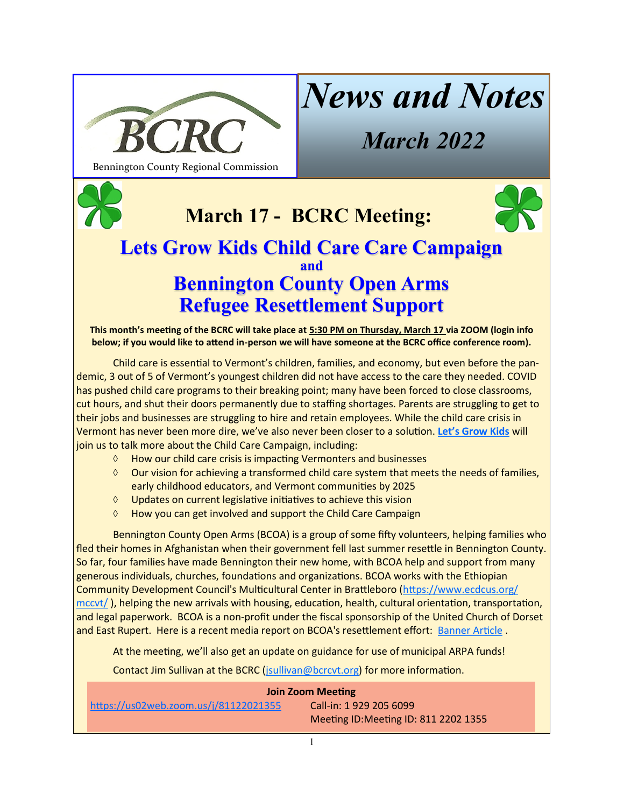

# *News and Notes*

*March 2022*

**March 17 - BCRC Meeting:**



## **Lets Grow Kids Child Care Care Campaign and Bennington County Open Arms Refugee Resettlement Support**

**This month's meeting of the BCRC will take place at 5:30 PM on Thursday, March 17 via ZOOM (login info below; if you would like to attend in-person we will have someone at the BCRC office conference room).**

Child care is essential to Vermont's children, families, and economy, but even before the pandemic, 3 out of 5 of Vermont's youngest children did not have access to the care they needed. COVID has pushed child care programs to their breaking point; many have been forced to close classrooms, cut hours, and shut their doors permanently due to staffing shortages. Parents are struggling to get to their jobs and businesses are struggling to hire and retain employees. While the child care crisis in Vermont has never been more dire, we've also never been closer to a solution. **Let'[s Grow Kids](https://letsgrowkids.org/)** will join us to talk more about the Child Care Campaign, including:

- $\Diamond$  How our child care crisis is impacting Vermonters and businesses
- $\Diamond$  Our vision for achieving a transformed child care system that meets the needs of families, early childhood educators, and Vermont communities by 2025
- Updates on current legislative initiatives to achieve this vision
- $\Diamond$  How you can get involved and support the Child Care Campaign

Bennington County Open Arms (BCOA) is a group of some fifty volunteers, helping families who fled their homes in Afghanistan when their government fell last summer resettle in Bennington County. So far, four families have made Bennington their new home, with BCOA help and support from many generous individuals, churches, foundations and organizations. BCOA works with the Ethiopian Community Development Council's Multicultural Center in Brattleboro ([https://www.ecdcus.org/](https://www.ecdcus.org/mccvt/) [mccvt/](https://www.ecdcus.org/mccvt/) ), helping the new arrivals with housing, education, health, cultural orientation, transportation, and legal paperwork. BCOA is a non-profit under the fiscal sponsorship of the United Church of Dorset and East Rupert. Here is a recent media report on BCOA's resettlement effort: [Banner Article](https://www.benningtonbanner.com/local-news/first-afghan-families-settling-in-southern-vermont/article_289fd86e-83a7-11ec-941b-ef7f378c83a6.html) .

At the meeting, we'll also get an update on guidance for use of municipal ARPA funds!

Contact Jim Sullivan at the BCRC ([jsullivan@bcrcvt.org\)](mailto:jsullivan@bcrcvt.org) for more information.

| <b>Join Zoom Meeting</b>              |                                       |
|---------------------------------------|---------------------------------------|
| https://us02web.zoom.us/j/81122021355 | Call-in: 1 929 205 6099               |
|                                       | Meeting ID: Meeting ID: 811 2202 1355 |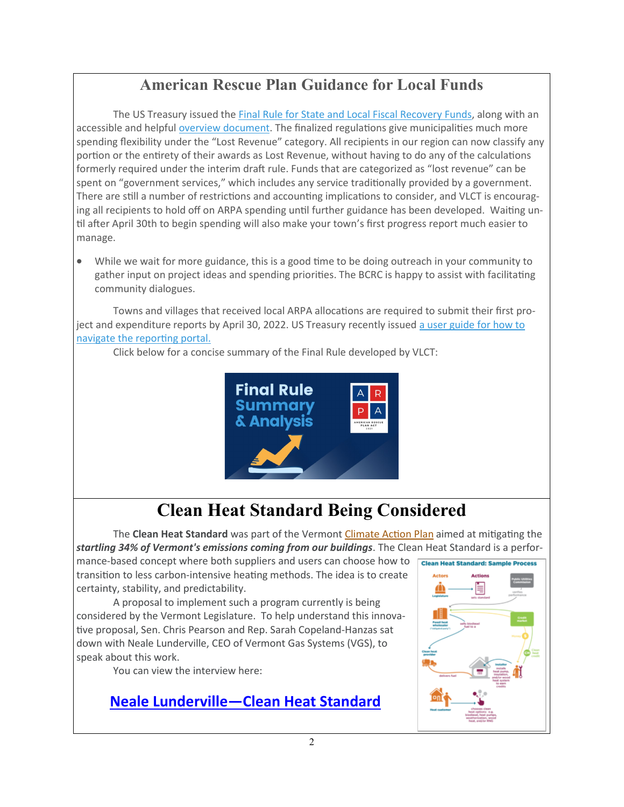## **American Rescue Plan Guidance for Local Funds**

The US Treasury issued the [Final Rule for State and Local Fiscal Recovery Funds,](https://track.robly.com/da7dc570-a039-481a-9d37-47c8b4e2796a3d3b2c015c15ab89b575b4d20b6e9bd1) along with an accessible and helpful [overview document.](https://track.robly.com/da7dc570-a039-481a-9d37-47c8b4e2796ac4793325b790a9d0e945b2bea172aabb) The finalized regulations give municipalities much more spending flexibility under the "Lost Revenue" category. All recipients in our region can now classify any portion or the entirety of their awards as Lost Revenue, without having to do any of the calculations formerly required under the interim draft rule. Funds that are categorized as "lost revenue" can be spent on "government services," which includes any service traditionally provided by a government. There are still a number of restrictions and accounting implications to consider, and VLCT is encouraging all recipients to hold off on ARPA spending until further guidance has been developed. Waiting until after April 30th to begin spending will also make your town's first progress report much easier to manage.

• While we wait for more guidance, this is a good time to be doing outreach in your community to gather input on project ideas and spending priorities. The BCRC is happy to assist with facilitating community dialogues.

Towns and villages that received local ARPA allocations are required to submit their first project and expenditure reports by April 30, 2022. US Treasury recently issued a user guide for how to [navigate the reporting portal.](https://track.robly.com/da7dc570-a039-481a-9d37-47c8b4e2796ae56ec5011a9d27644ee778b9b18962dd) 

Click below for a concise summary of the Final Rule developed by VLCT:



# **Clean Heat Standard Being Considered**

The **Clean Heat Standard** was part of the Vermont [Climate Action Plan](https://facebook.us4.list-manage.com/track/click?u=1de49d2014d5f70cb6b6f163f&id=961e411fae&e=32b1c61a26) aimed at mitigating the *startling 34% of Vermont's emissions coming from our buildings*. The Clean Heat Standard is a perfor-

mance-based concept where both suppliers and users can choose how to clean Heat Standard: Sample Process transition to less carbon-intensive heating methods. The idea is to create certainty, stability, and predictability.

A proposal to implement such a program currently is being considered by the Vermont Legislature. To help understand this innovative proposal, Sen. Chris Pearson and Rep. Sarah Copeland-Hanzas sat down with Neale Lunderville, CEO of Vermont Gas Systems (VGS), to speak about this work.

You can view the interview here:

### **Neale Lunderville[—Cl](https://www.youtube.com/watch?v=DJIJFBHPKN4)ean Heat Standard**

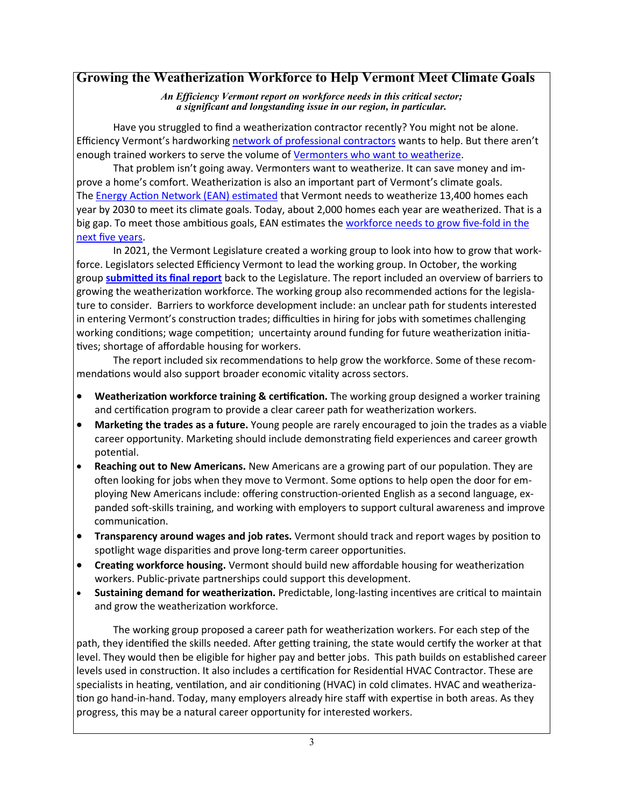#### **Growing the Weatherization Workforce to Help Vermont Meet Climate Goals**

*An Efficiency Vermont report on workforce needs in this critical sector; a significant and longstanding issue in our region, in particular.*

Have you struggled to find a weatherization contractor recently? You might not be alone. Efficiency Vermont's hardworking [network of professional contractors](https://www.efficiencyvermont.com/find-contractor-retailer?provider=homeperformancecontractors) wants to help. But there aren't enough trained workers to serve the volume of [Vermonters who want to weatherize.](https://www.efficiencyvermont.com/services/renovation-construction/weatherization)

That problem isn't going away. Vermonters want to weatherize. It can save money and improve a home's comfort. Weatherization is also an important part of Vermont's climate goals. The [Energy Action Network \(EAN\) estimated](https://www.eanvt.org/wp-content/uploads/2021/06/EAN-APR2020-21_finalJune2.pdf) that Vermont needs to weatherize 13,400 homes each year by 2030 to meet its climate goals. Today, about 2,000 homes each year are weatherized. That is a big gap. To meet those ambitious goals, EAN estimates the [workforce needs to grow five](https://www.eanvt.org/ean-interns/ean-summer-2021-interns/workforce-development-thermal-sector/)-fold in the [next five years.](https://www.eanvt.org/ean-interns/ean-summer-2021-interns/workforce-development-thermal-sector/)

In 2021, the Vermont Legislature created a working group to look into how to grow that workforce. Legislators selected Efficiency Vermont to lead the working group. In October, the working group **[submitted its final report](https://www.efficiencyvermont.com/news-blog/whitepapers/weatherization-workforce-plan)** back to the Legislature. The report included an overview of barriers to growing the weatherization workforce. The working group also recommended actions for the legislature to consider. Barriers to workforce development include: an unclear path for students interested in entering Vermont's construction trades; difficulties in hiring for jobs with sometimes challenging working conditions; wage competition; uncertainty around funding for future weatherization initiatives; shortage of affordable housing for workers.

The report included six recommendations to help grow the workforce. Some of these recommendations would also support broader economic vitality across sectors.

- **Weatherization workforce training & certification.** The working group designed a worker training and certification program to provide a clear career path for weatherization workers.
- **Marketing the trades as a future.** Young people are rarely encouraged to join the trades as a viable career opportunity. Marketing should include demonstrating field experiences and career growth potential.
- **Reaching out to New Americans.** New Americans are a growing part of our population. They are often looking for jobs when they move to Vermont. Some options to help open the door for employing New Americans include: offering construction-oriented English as a second language, expanded soft-skills training, and working with employers to support cultural awareness and improve communication.
- **Transparency around wages and job rates.** Vermont should track and report wages by position to spotlight wage disparities and prove long-term career opportunities.
- **Creating workforce housing.** Vermont should build new affordable housing for weatherization workers. Public-private partnerships could support this development.
- **Sustaining demand for weatherization.** Predictable, long-lasting incentives are critical to maintain and grow the weatherization workforce.

The working group proposed a career path for weatherization workers. For each step of the path, they identified the skills needed. After getting training, the state would certify the worker at that level. They would then be eligible for higher pay and better jobs. This path builds on established career levels used in construction. It also includes a certification for Residential HVAC Contractor. These are specialists in heating, ventilation, and air conditioning (HVAC) in cold climates. HVAC and weatherization go hand-in-hand. Today, many employers already hire staff with expertise in both areas. As they progress, this may be a natural career opportunity for interested workers.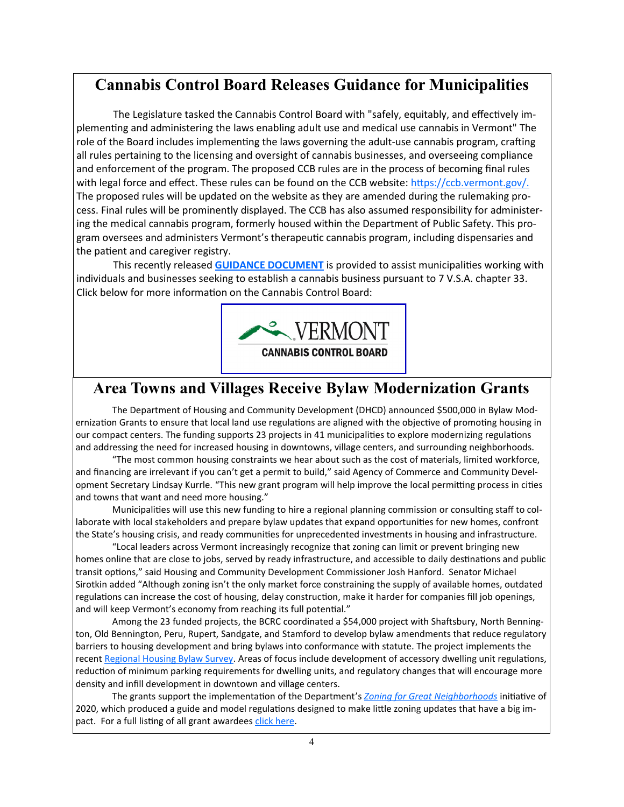### **Cannabis Control Board Releases Guidance for Municipalities**

The Legislature tasked the Cannabis Control Board with "safely, equitably, and effectively implementing and administering the laws enabling adult use and medical use cannabis in Vermont" The role of the Board includes implementing the laws governing the adult-use cannabis program, crafting all rules pertaining to the licensing and oversight of cannabis businesses, and overseeing compliance and enforcement of the program. The proposed CCB rules are in the process of becoming final rules with legal force and effect. These rules can be found on the CCB website: [https://ccb.vermont.gov/.](https://ccb.vermont.gov/) The proposed rules will be updated on the website as they are amended during the rulemaking process. Final rules will be prominently displayed. The CCB has also assumed responsibility for administering the medical cannabis program, formerly housed within the Department of Public Safety. This program oversees and administers Vermont's therapeutic cannabis program, including dispensaries and the patient and caregiver registry.

This recently released **[GUIDANCE DOCUMENT](https://ccb.vermont.gov/sites/ccb/files/2022-01/Municipal.Guidance_Formatted.pdf)** is provided to assist municipalities working with individuals and businesses seeking to establish a cannabis business pursuant to 7 V.S.A. chapter 33. Click below for more information on the Cannabis Control Board:



### **Area Towns and Villages Receive Bylaw Modernization Grants**

The Department of Housing and Community Development (DHCD) announced \$500,000 in Bylaw Modernization Grants to ensure that local land use regulations are aligned with the objective of promoting housing in our compact centers. The funding supports 23 projects in 41 municipalities to explore modernizing regulations and addressing the need for increased housing in downtowns, village centers, and surrounding neighborhoods.

"The most common housing constraints we hear about such as the cost of materials, limited workforce, and financing are irrelevant if you can't get a permit to build," said Agency of Commerce and Community Development Secretary Lindsay Kurrle. "This new grant program will help improve the local permitting process in cities and towns that want and need more housing."

Municipalities will use this new funding to hire a regional planning commission or consulting staff to collaborate with local stakeholders and prepare bylaw updates that expand opportunities for new homes, confront the State's housing crisis, and ready communities for unprecedented investments in housing and infrastructure.

"Local leaders across Vermont increasingly recognize that zoning can limit or prevent bringing new homes online that are close to jobs, served by ready infrastructure, and accessible to daily destinations and public transit options," said Housing and Community Development Commissioner Josh Hanford. Senator Michael Sirotkin added "Although zoning isn't the only market force constraining the supply of available homes, outdated regulations can increase the cost of housing, delay construction, make it harder for companies fill job openings, and will keep Vermont's economy from reaching its full potential."

Among the 23 funded projects, the BCRC coordinated a \$54,000 project with Shaftsbury, North Bennington, Old Bennington, Peru, Rupert, Sandgate, and Stamford to develop bylaw amendments that reduce regulatory barriers to housing development and bring bylaws into conformance with statute. The project implements the recent [Regional Housing Bylaw Survey.](http://www.bcrcvt.org/uploads/1/1/1/8/111899771/bcrc_housingbylawsurvey2021_1.pdf) Areas of focus include development of accessory dwelling unit regulations, reduction of minimum parking requirements for dwelling units, and regulatory changes that will encourage more density and infill development in downtown and village centers.

The grants support the implementation of the Department's *[Zoning for Great Neighborhoods](https://accd.vermont.gov/content/zoning-for-great-neighborhoods)* initiative of 2020, which produced a guide and model regulations designed to make little zoning updates that have a big impact. For a full listing of all grant awardees [click here.](https://accd.vermont.gov/sites/accdnew/files/documents/CD/CPR/CPR-BMG-FundedProjects-FY22.pdf)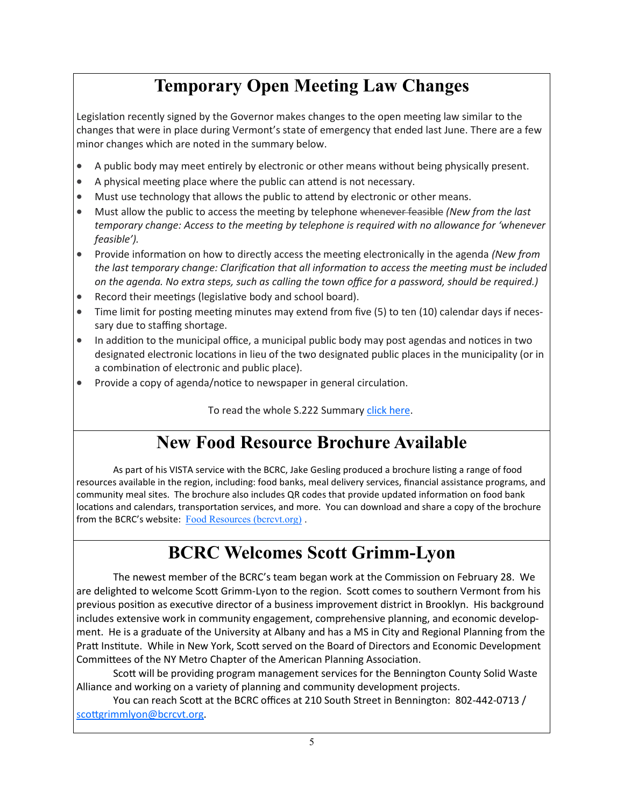# **Temporary Open Meeting Law Changes**

Legislation recently signed by the Governor makes changes to the open meeting law similar to the changes that were in place during Vermont's state of emergency that ended last June. There are a few minor changes which are noted in the summary below.

- A public body may meet entirely by electronic or other means without being physically present.
- A physical meeting place where the public can attend is not necessary.
- Must use technology that allows the public to attend by electronic or other means.
- Must allow the public to access the meeting by telephone whenever feasible *(New from the last temporary change: Access to the meeting by telephone is required with no allowance for 'whenever feasible').*
- Provide information on how to directly access the meeting electronically in the agenda *(New from the last temporary change: Clarification that all information to access the meeting must be included on the agenda. No extra steps, such as calling the town office for a password, should be required.)*
- Record their meetings (legislative body and school board).
- Time limit for posting meeting minutes may extend from five (5) to ten (10) calendar days if necessary due to staffing shortage.
- In addition to the municipal office, a municipal public body may post agendas and notices in two designated electronic locations in lieu of the two designated public places in the municipality (or in a combination of electronic and public place).
- Provide a copy of agenda/notice to newspaper in general circulation.

To read the whole S.222 Summary [click here.](https://a.rs6.net/1/pc?ep=eb0d303ad61e0376Weae08Nk51apsBgPNR1H9JUDb-eV3gTUfD0PITIYtvEOIYETsAstyGh88EU0yoaD32ZfWq-YEXfRtrr8AuJie5xbADqxa58I9JIAHGpFEnmEPybayvLPQKoeU3OIhaKSZlA9rhTzBiHlxcxa2hOWjFeNqjY6XjbN0zw4bzKUeFY1K5XfEtaf1pWWNhmwtfWBUOHtlfk-ZcbcpeGZk9zblXUaA)

# **New Food Resource Brochure Available**

As part of his VISTA service with the BCRC, Jake Gesling produced a brochure listing a range of food resources available in the region, including: food banks, meal delivery services, financial assistance programs, and community meal sites. The brochure also includes QR codes that provide updated information on food bank locations and calendars, transportation services, and more. You can download and share a copy of the brochure from the BCRC's website: [Food Resources \(bcrcvt.org\)](http://www.bcrcvt.org/uploads/1/1/1/8/111899771/february_food_resources.pdf).

# **BCRC Welcomes Scott Grimm-Lyon**

The newest member of the BCRC's team began work at the Commission on February 28. We are delighted to welcome Scott Grimm-Lyon to the region. Scott comes to southern Vermont from his previous position as executive director of a business improvement district in Brooklyn. His background includes extensive work in community engagement, comprehensive planning, and economic development. He is a graduate of the University at Albany and has a MS in City and Regional Planning from the Pratt Institute. While in New York, Scott served on the Board of Directors and Economic Development Committees of the NY Metro Chapter of the American Planning Association.

Scott will be providing program management services for the Bennington County Solid Waste Alliance and working on a variety of planning and community development projects.

You can reach Scott at the BCRC offices at 210 South Street in Bennington: 802-442-0713 / [scottgrimmlyon@bcrcvt.org.](mailto:scgrimmlyon@bcrcvt.org)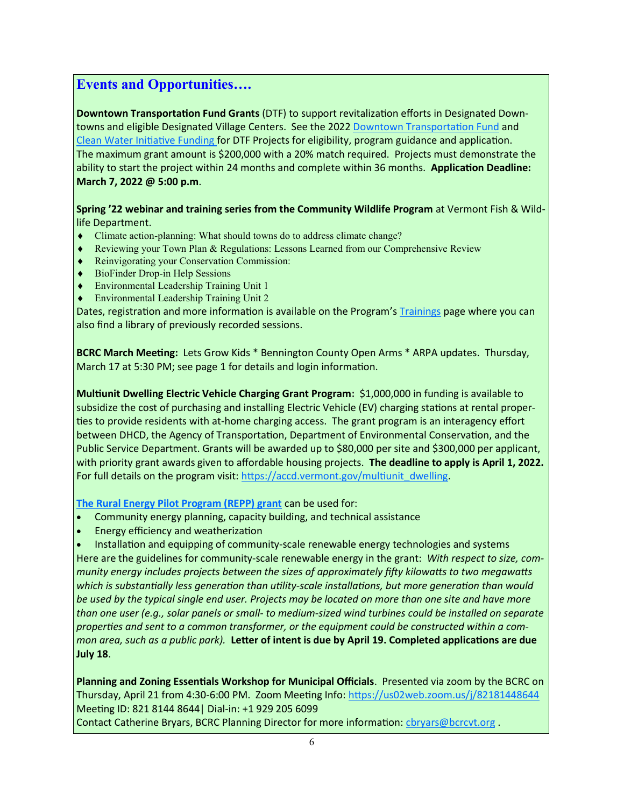#### **Events and Opportunities….**

**Downtown Transportation Fund Grants** (DTF) to support revitalization efforts in Designated Down-towns and eligible Designated Village Centers. See the 2022 [Downtown Transportation Fund](https://accd.vermont.gov/sites/accdnew/files/documents/CD/CPR/CPR-DTF-Application-Guidelines_2022_FINAL.pdf) and [Clean Water Initiative Funding](https://accd.vermont.gov/sites/accdnew/files/documents/CD/CPR/CPR-DTF-Clean-Water-Funding-Application-Guidelines_2022_FINAL.pdf) for DTF Projects for eligibility, program guidance and application. The maximum grant amount is \$200,000 with a 20% match required. Projects must demonstrate the ability to start the project within 24 months and complete within 36 months. **Application Deadline: March 7, 2022 @ 5:00 p.m**.

**Spring '22 webinar and training series from the Community Wildlife Program** at Vermont Fish & Wildlife Department.

- Climate action-[planning: What should towns do to address climate change?](#Climate#Climate)
- [Reviewing your Town Plan & Regulations: Lessons Learned from our Comprehensive Review](#Reviewing#Reviewing)
- [Reinvigorating your Conservation Commission:](#Reinvigorating#Reinvigorating)
- BioFinder Drop-[in Help Sessions](#BioFinder#BioFinder)
- [Environmental Leadership Training Unit 1](#ELT1#ELT1)
- [Environmental Leadership Training Unit 2](#ELT2#ELT2)

Dates, registration and more information is available on the Program's [Trainings](https://anr.vermont.gov/content/trainings) page where you can also find a library of previously recorded sessions.

**BCRC March Meeting:** Lets Grow Kids \* Bennington County Open Arms \* ARPA updates. Thursday, March 17 at 5:30 PM; see page 1 for details and login information.

**Multiunit Dwelling Electric Vehicle Charging Grant Program:** \$1,000,000 in funding is available to subsidize the cost of purchasing and installing Electric Vehicle (EV) charging stations at rental properties to provide residents with at-home charging access. The grant program is an interagency effort between DHCD, the Agency of Transportation, Department of Environmental Conservation, and the Public Service Department. Grants will be awarded up to \$80,000 per site and \$300,000 per applicant, with priority grant awards given to affordable housing projects. **The deadline to apply is April 1, 2022.** For full details on the program visit: [https://accd.vermont.gov/multiunit\\_dwelling.](https://accd.vermont.gov/multiunit_dwelling)

**[The Rural Energy Pilot Program \(REPP\) grant](https://www.rd.usda.gov/programs-services/energy-programs/rural-energy-pilot-program)** can be used for:

- Community energy planning, capacity building, and technical assistance
- Energy efficiency and weatherization

• Installation and equipping of community-scale renewable energy technologies and systems Here are the guidelines for community-scale renewable energy in the grant: *With respect to size, community energy includes projects between the sizes of approximately fifty kilowatts to two megawatts which is substantially less generation than utility-scale installations, but more generation than would be used by the typical single end user. Projects may be located on more than one site and have more than one user (e.g., solar panels or small- to medium-sized wind turbines could be installed on separate properties and sent to a common transformer, or the equipment could be constructed within a common area, such as a public park).* **Letter of intent is due by April 19. Completed applications are due July 18**.

**Planning and Zoning Essentials Workshop for Municipal Officials**. Presented via zoom by the BCRC on Thursday, April 21 from 4:30-6:00 PM. Zoom Meeting Info: <https://us02web.zoom.us/j/82181448644> Meeting ID: 821 8144 8644| Dial-in: +1 929 205 6099

Contact Catherine Bryars, BCRC Planning Director for more information: [cbryars@bcrcvt.org](mailto:cbryars@bcrcvt.org) .